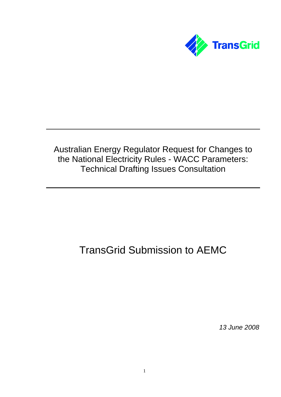

# Australian Energy Regulator Request for Changes to the National Electricity Rules - WACC Parameters: Technical Drafting Issues Consultation

# TransGrid Submission to AEMC

*13 June 2008*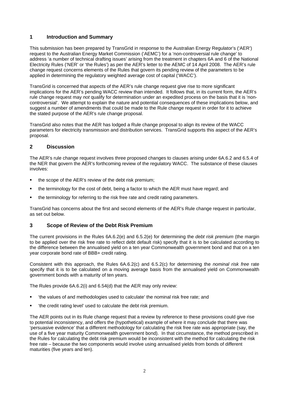# **1 Introduction and Summary**

This submission has been prepared by TransGrid in response to the Australian Energy Regulator's ('AER') request to the Australian Energy Market Commission ('AEMC') for a 'non-controversial rule change' to address 'a number of technical drafting issues' arising from the treatment in chapters 6A and 6 of the National Electricity Rules ('NER' or 'the Rules') as per the AER's letter to the AEMC of 14 April 2008. The AER's rule change request concerns elements of the Rules that govern its pending review of the parameters to be applied in determining the regulatory weighted average cost of capital ('WACC').

TransGrid is concerned that aspects of the AER's rule change request give rise to more significant implications for the AER's pending WACC review than intended. It follows that, in its current form, the AER's rule change request may *not* qualify for determination under an expedited process on the basis that it is 'noncontroversial'. We attempt to explain the nature and potential consequences of these implications below, and suggest a number of amendments that could be made to the Rule change request in order for it to achieve the stated purpose of the AER's rule change proposal.

TransGrid also notes that the AER has lodged a Rule change proposal to align its review of the WACC parameters for electricity transmission and distribution services. TransGrid supports this aspect of the AER's proposal.

# **2 Discussion**

The AER's rule change request involves three proposed changes to clauses arising under 6A.6.2 and 6.5.4 of the NER that govern the AER's forthcoming review of the regulatory WACC. The substance of these clauses involves:

- the scope of the AER's review of the debt risk premium;
- the terminology for the cost of debt, being a factor to which the AER must have regard; and
- the terminology for referring to the risk free rate and credit rating parameters.

TransGrid has concerns about the first and second elements of the AER's Rule change request in particular, as set out below.

# **3 Scope of Review of the Debt Risk Premium**

The current provisions in the Rules 6A.6.2(e) and 6.5.2(e) for determining the *debt risk premium* (the margin to be applied over the risk free rate to reflect debt default risk) specify that it is to be calculated according to the difference between the annualised yield on a ten year Commonwealth government bond and that on a ten year corporate bond rate of BBB+ credit rating.

Consistent with this approach, the Rules 6A.6.2(c) and 6.5.2(c) for determining the *nominal risk free* rate specify that it is to be calculated on a moving average basis from the annualised yield on Commonwealth government bonds with a maturity of ten years.

The Rules provide 6A.6.2(i) and 6.54(d) that the AER may only review:

- 'the values of and methodologies used to calculate' the nominal risk free rate; and
- 'the credit rating level' used to calculate the debt risk premium.

The AER points out in its Rule change request that a review by reference to these provisions could give rise to potential inconsistency, and offers the (hypothetical) example of where it may conclude that there was 'persuasive evidence' that a different methodology for calculating the risk free rate was appropriate (say, the use of a five year maturity Commonwealth government bond). In that circumstance, the method prescribed in the Rules for calculating the debt risk premium would be inconsistent with the method for calculating the risk free rate – because the two components would involve using annualised yields from bonds of different maturities (five years and ten).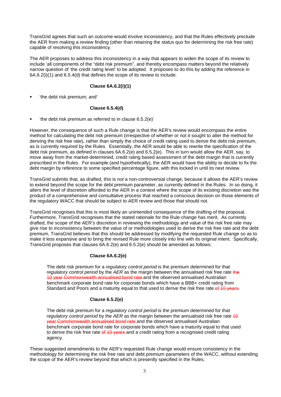TransGrid agrees that such an outcome would involve inconsistency, and that the Rules effectively preclude the AER from making a review finding (other than retaining the status quo for determining the risk free rate) capable of resolving this inconsistency.

The AER proposes to address this inconsistency in a way that appears to widen the scope of its review to include 'all components of the "debt risk premium", and thereby encompass matters beyond the relatively narrow question of 'the credit rating level' to be adopted. It proposes to do this by adding the reference in 6A.6.2(i)(1) and 6.5.4(d) that defines the scope of its review to include:

#### **Clause 6A.6.2(i)(1)**

'the debt risk premium; and'

# **Clause 6.5.4(d)**

'the debt risk premium as referred to in clause 6.5.2(e)'

However, the consequence of such a Rule change is that the AER's review would encompass the entire method for calculating the debt risk premium (irrespective of whether or not it sought to alter the method for deriving the risk free rate), rather than simply the choice of credit rating used to derive the debt risk premium, as is currently required by the Rules. Essentially, the AER would be able to rewrite the specification of the debt risk premium, as defined in clauses 6A.6.2(e) and 6.5.2(e). This in turn would allow the AER, say, to move away from the market-determined, credit rating based assessment of the debt margin that is currently prescribed in the Rules. For example (and hypothetically), the AER would have the ability to decide to fix the debt margin by reference to some specified percentage figure, with this locked in until its next review.

TransGrid submits that, as drafted, this is *not* a non-controversial change, because it allows the AER's review to extend beyond the scope for the debt premium parameter, as currently defined in the Rules. In so doing, it alters the level of discretion afforded to the AER in a context where the scope of its existing discretion was the product of a comprehensive and consultative process that reached a conscious decision on those elements of the regulatory WACC that should be subject to AER review and those that should not.

TransGrid recognises that this is most likely an unintended consequence of the drafting of the proposal. Furthermore, TransGrid recognises that the stated rationale for the Rule change has merit. As currently drafted, the scope of the AER's discretion in reviewing the methodology and value of the risk free rate may give rise to inconsistency between the value of or methodologies used to derive the risk free rate and the debt premium, TransGrid believes that this should be addressed by modifying the requested Rule change so as to make it less expansive and to bring the revised Rule more closely into line with its original intent. Specifically, TransGrid proposes that clauses 6A.6.2(e) and 6.5.2(e) should be amended as follows:

# **Clause 6A.6.2(e)**

The debt risk premium for a *regulatory control period* is the premium determined for that *regulatory control period* by the *AER* as the margin between the annualised risk free rate the 10 year Commonwealth annualised bond rate and the observed annualised Australian benchmark corporate bond rate for corporate bonds which have a BBB+ credit rating from Standard and Poors and a maturity equal to that used to derive the risk free rate.of 10 years.

# **Clause 6.5.2(e)**

The debt risk premium for a *regulatory control period* is the premium determined for that *regulatory control period by the AER* as the margin between the annualised risk free rate 40 year Commonwealth annualised bond rate and the observed annualised Australian benchmark corporate bond rate for corporate bonds which have a maturity equal to that used to derive the risk free rate of 10 years and a credit rating from a recognised credit rating agency.

These suggested amendments to the AER's requested Rule change would ensure consistency in the methodology for determining the risk free rate and debt premium parameters of the WACC, without extending the scope of the AER's review beyond that which is presently specified in the Rules.